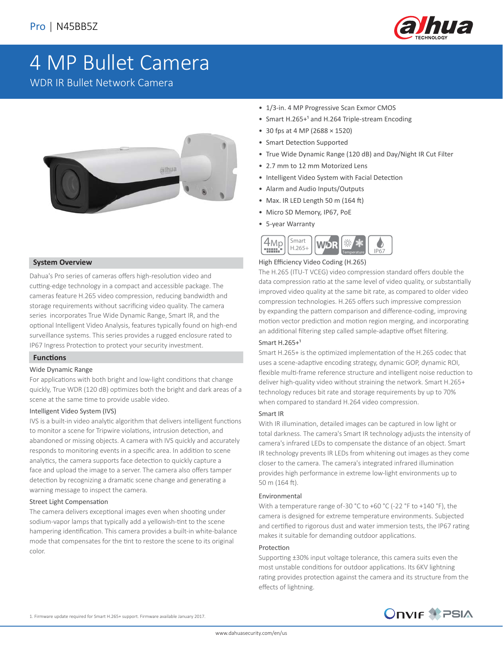

# 4 MP Bullet Camera

WDR IR Bullet Network Camera



#### **System Overview**

Dahua's Pro series of cameras offers high-resolution video and cutting-edge technology in a compact and accessible package. The cameras feature H.265 video compression, reducing bandwidth and storage requirements without sacrificing video quality. The camera series incorporates True Wide Dynamic Range, Smart IR, and the optional Intelligent Video Analysis, features typically found on high-end surveillance systems. This series provides a rugged enclosure rated to IP67 Ingress Protection to protect your security investment.

#### **Functions**

#### Wide Dynamic Range

For applications with both bright and low-light conditions that change quickly, True WDR (120 dB) optimizes both the bright and dark areas of a scene at the same time to provide usable video.

#### Intelligent Video System (IVS)

IVS is a built-in video analytic algorithm that delivers intelligent functions to monitor a scene for Tripwire violations, intrusion detection, and abandoned or missing objects. A camera with IVS quickly and accurately responds to monitoring events in a specific area. In addition to scene analytics, the camera supports face detection to quickly capture a face and upload the image to a server. The camera also offers tamper detection by recognizing a dramatic scene change and generating a warning message to inspect the camera.

#### Street Light Compensation

The camera delivers exceptional images even when shooting under sodium-vapor lamps that typically add a yellowish-tint to the scene hampering identification. This camera provides a built-in white-balance mode that compensates for the tint to restore the scene to its original color.

- 1/3-in. 4 MP Progressive Scan Exmor CMOS
- Smart H.265+<sup>1</sup> and H.264 Triple-stream Encoding
- 30 fps at 4 MP (2688 × 1520)
- Smart Detection Supported
- True Wide Dynamic Range (120 dB) and Day/Night IR Cut Filter
- 2.7 mm to 12 mm Motorized Lens
- Intelligent Video System with Facial Detection
- Alarm and Audio Inputs/Outputs
- $\bullet$  Max. IR LED Length 50 m (164 ft)
- Micro SD Memory, IP67, PoE
- 5-year Warranty



#### High Efficiency Video Coding (H.265)

The H.265 (ITU-T VCEG) video compression standard offers double the data compression ratio at the same level of video quality, or substantially improved video quality at the same bit rate, as compared to older video compression technologies. H.265 offers such impressive compression by expanding the pattern comparison and difference-coding, improving motion vector prediction and motion region merging, and incorporating an additional filtering step called sample-adaptive offset filtering.

#### Smart  $H.265+<sup>1</sup>$

Smart H.265+ is the optimized implementation of the H.265 codec that uses a scene-adaptive encoding strategy, dynamic GOP, dynamic ROI, flexible multi-frame reference structure and intelligent noise reduction to deliver high-quality video without straining the network. Smart H.265+ technology reduces bit rate and storage requirements by up to 70% when compared to standard H.264 video compression.

#### Smart IR

With IR illumination, detailed images can be captured in low light or total darkness. The camera's Smart IR technology adjusts the intensity of camera's infrared LEDs to compensate the distance of an object. Smart IR technology prevents IR LEDs from whitening out images as they come closer to the camera. The camera's integrated infrared illumination provides high performance in extreme low-light environments up to 50 m (164 ft).

#### Environmental

With a temperature range of-30 °C to +60 °C (-22 °F to +140 °F), the camera is designed for extreme temperature environments. Subjected and certified to rigorous dust and water immersion tests, the IP67 rating makes it suitable for demanding outdoor applications.

#### Protection

Supporting ±30% input voltage tolerance, this camera suits even the most unstable conditions for outdoor applications. Its 6KV lightning rating provides protection against the camera and its structure from the effects of lightning.

1. Firmware update required for Smart H.265+ support. Firmware available January 2017.

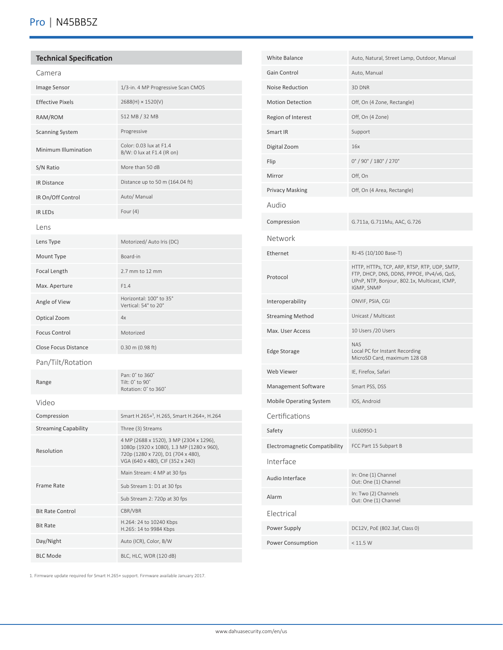# **Technical Specification**

| 1/3-in. 4 MP Progressive Scan CMOS                                                                                                                             |
|----------------------------------------------------------------------------------------------------------------------------------------------------------------|
| 2688(H) × 1520(V)                                                                                                                                              |
| 512 MB / 32 MB                                                                                                                                                 |
| Progressive                                                                                                                                                    |
| Color: 0.03 lux at F1.4<br>B/W: 0 lux at F1.4 (IR on)                                                                                                          |
| More than 50 dB                                                                                                                                                |
| Distance up to 50 m (164.04 ft)                                                                                                                                |
| Auto/ Manual                                                                                                                                                   |
| Four $(4)$                                                                                                                                                     |
|                                                                                                                                                                |
| Motorized/ Auto Iris (DC)                                                                                                                                      |
| Board-in                                                                                                                                                       |
| 2.7 mm to 12 mm                                                                                                                                                |
| F1.4                                                                                                                                                           |
| Horizontal: 100° to 35°<br>Vertical: 54° to 20°                                                                                                                |
| 4x                                                                                                                                                             |
| Motorized                                                                                                                                                      |
| 0.30 m (0.98 ft)                                                                                                                                               |
|                                                                                                                                                                |
| Pan: 0° to 360°<br>Tilt: 0° to 90°<br>Rotation: 0° to 360°                                                                                                     |
|                                                                                                                                                                |
| Smart H.265+ <sup>1</sup> , H.265, Smart H.264+, H.264                                                                                                         |
| Three (3) Streams                                                                                                                                              |
| 4 MP (2688 x 1520), 3 MP (2304 x 1296),<br>1080p (1920 x 1080), 1.3 MP (1280 x 960),<br>720p (1280 x 720), D1 (704 x 480),<br>VGA (640 x 480), CIF (352 x 240) |
| Main Stream: 4 MP at 30 fps                                                                                                                                    |
| Sub Stream 1: D1 at 30 fps                                                                                                                                     |
| Sub Stream 2: 720p at 30 fps                                                                                                                                   |
| CBR/VBR<br>H.264: 24 to 10240 Kbps                                                                                                                             |
| H.265: 14 to 9984 Kbps                                                                                                                                         |
| Auto (ICR), Color, B/W                                                                                                                                         |
| BLC, HLC, WDR (120 dB)                                                                                                                                         |
|                                                                                                                                                                |

| <b>White Balance</b>           | Auto, Natural, Street Lamp, Outdoor, Manual                                                                                                              |
|--------------------------------|----------------------------------------------------------------------------------------------------------------------------------------------------------|
| Gain Control                   | Auto, Manual                                                                                                                                             |
| Noise Reduction                | 3D DNR                                                                                                                                                   |
| <b>Motion Detection</b>        | Off, On (4 Zone, Rectangle)                                                                                                                              |
| Region of Interest             | Off, On (4 Zone)                                                                                                                                         |
| Smart IR                       | Support                                                                                                                                                  |
| Digital Zoom                   | 16x                                                                                                                                                      |
| Flip                           | 0° / 90° / 180° / 270°                                                                                                                                   |
| Mirror                         | Off, On                                                                                                                                                  |
| <b>Privacy Masking</b>         | Off, On (4 Area, Rectangle)                                                                                                                              |
| Audio                          |                                                                                                                                                          |
| Compression                    | G.711a, G.711Mu, AAC, G.726                                                                                                                              |
| Network                        |                                                                                                                                                          |
| Ethernet                       | RJ-45 (10/100 Base-T)                                                                                                                                    |
| Protocol                       | HTTP, HTTPs, TCP, ARP, RTSP, RTP, UDP, SMTP,<br>FTP, DHCP, DNS, DDNS, PPPOE, IPv4/v6, QoS,<br>UPnP, NTP, Bonjour, 802.1x, Multicast, ICMP,<br>IGMP, SNMP |
| Interoperability               | ONVIF, PSIA, CGI                                                                                                                                         |
| <b>Streaming Method</b>        | Unicast / Multicast                                                                                                                                      |
| Max. User Access               | 10 Users / 20 Users                                                                                                                                      |
| <b>Edge Storage</b>            | <b>NAS</b><br>Local PC for Instant Recording<br>MicroSD Card, maximum 128 GB                                                                             |
| Web Viewer                     | IE, Firefox, Safari                                                                                                                                      |
| Management Software            | Smart PSS, DSS                                                                                                                                           |
| <b>Mobile Operating System</b> | IOS, Android                                                                                                                                             |
| Certifications                 |                                                                                                                                                          |
| Safety                         | UL60950-1                                                                                                                                                |
| Electromagnetic Compatibility  | FCC Part 15 Subpart B                                                                                                                                    |
| Interface                      |                                                                                                                                                          |
| Audio Interface                | In: One (1) Channel<br>Out: One (1) Channel                                                                                                              |
| Alarm                          | In: Two (2) Channels<br>Out: One (1) Channel                                                                                                             |
| Electrical                     |                                                                                                                                                          |
| Power Supply                   | DC12V, PoE (802.3af, Class 0)                                                                                                                            |
| Power Consumption              | < 11.5 W                                                                                                                                                 |

1. Firmware update required for Smart H.265+ support. Firmware available January 2017.